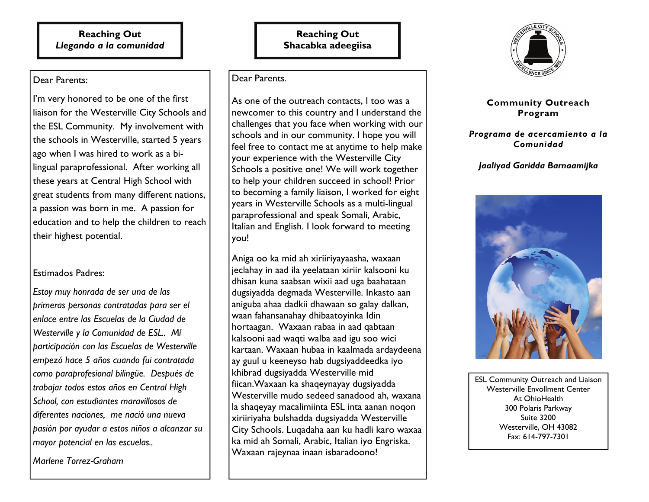#### **Reaching Out**  *Llegando a la comunidad*

Dear Parents:

I'm very honored to be one of the first liaison for the Westerville City Schools and the ESL Community. My involvement with the schools in Westerville, started 5 years ago when I was hired to work as a bilingual paraprofessional. After working all these years at Central High School with great students from many different nations, a passion was born in me. A passion for education and to help the children to reach their highest potential.

## Estimados Padres:

*Estoy muy honrada de ser una de las primeras personas contratadas para ser el enlace entre las Escuelas de la Ciudad de Westerville y la Comunidad de ESL.. Mí participación con las Escuelas de Westerville empezó hace 5 años cuando fui contratada como paraprofesional bilingüe. Después de trabajar todos estos años en Central High School, con estudiantes maravillosos de diferentes naciones, me nació una nueva pasión por ayudar a estos niños a alcanzar su mayor potencial en las escuelas..* 

*Marlene Torrez-Graham* 

## **Reaching Out Shacabka adeegiisa**

Dear Parents.

As one of the outreach contacts, I too was a newcomer to this country and I understand the challenges that you face when working with our schools and in our community. I hope you will feel free to contact me at anytime to help make your experience with the Westerville City Schools a positive one! We will work together to help your children succeed in school! Prior to becoming a family liaison, I worked for eight years in Westerville Schools as a multi-lingual paraprofessional and speak Somali, Arabic, Italian and English. I look forward to meeting you!

Aniga oo ka mid ah xiriiriyayaasha, waxaan jeclahay in aad ila yeelataan xiriir kalsooni ku dhisan kuna saabsan wixii aad uga baahataan dugsiyadda degmada Westerville. Inkasto aan aniguba ahaa dadkii dhawaan so galay dalkan, waan fahansanahay dhibaatoyinka Idin hortaagan. Waxaan rabaa in aad qabtaan kalsooni aad waqti walba aad igu soo wici kartaan. Waxaan hubaa in kaalmada ardaydeena ay guul u keeneyso hab dugsiyaddeedka iyo khibrad dugsiyadda Westerville mid fiican.Waxaan ka shaqeynayay dugsiyadda Westerville mudo sedeed sanadood ah, waxana la shaqeyay macalimiinta ESL inta aanan noqon xiriiriyaha bulshadda dugsiyadda Westerville City Schools. Luqadaha aan ku hadli karo waxaa ka mid ah Somali, Arabic, Italian iyo Engriska. Waxaan rajeynaa inaan isbaradoono!



## **Community Outreach Program**

### *Programa de acercamiento a la Comunidad*

## *Jaaliyad Garidda Barnaamijka*



ESL Community Outreach and Liaison Westerville Envollment Center At OhioHealth 300 Polaris Parkway Suite 3200 Westerville, OH 43082 Fax: 614-797-7301